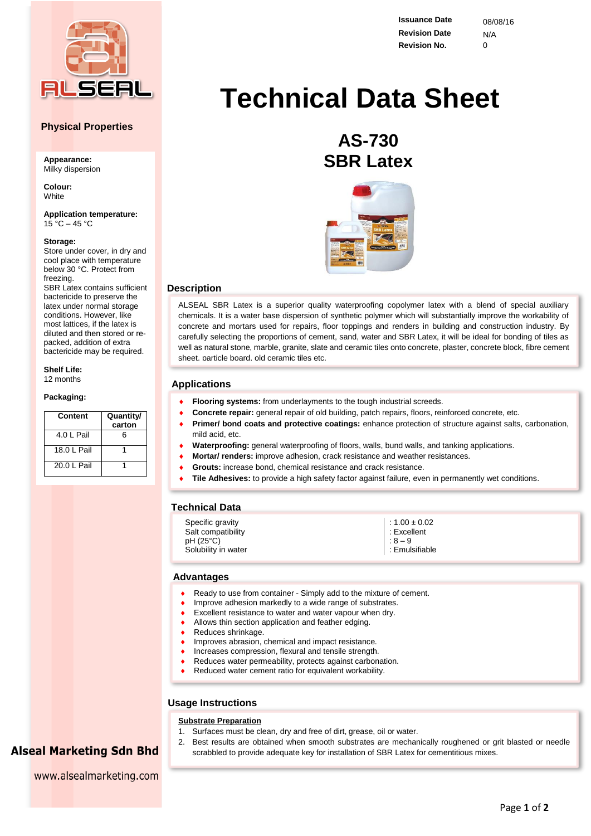

## **Physical Properties**

**Appearance:** Milky dispersion

**Colour: White** 

**Application temperature:**  $15 \text{ °C} - 45 \text{ °C}$ 

#### **Storage:**

Store under cover, in dry and cool place with temperature below 30 °C. Protect from freezing. SBR Latex contains sufficient

bactericide to preserve the latex under normal storage conditions. However, like most lattices, if the latex is diluted and then stored or repacked, addition of extra bactericide may be required.

**Shelf Life:** 12 months

#### **Packaging:**

| Content     | Quantity/<br>carton |
|-------------|---------------------|
| 4.0   Pail  | ี                   |
| 18.0 I Pail |                     |
| 20.0 L Pail |                     |

**Issuance Date** 08/08/16 **Revision Date** N/A **Revision No.** 0

# **Technical Data Sheet**

# **AS-730 SBR Latex**



#### **Description**

ALSEAL SBR Latex is a superior quality waterproofing copolymer latex with a blend of special auxiliary chemicals. It is a water base dispersion of synthetic polymer which will substantially improve the workability of concrete and mortars used for repairs, floor toppings and renders in building and construction industry. By carefully selecting the proportions of cement, sand, water and SBR Latex, it will be ideal for bonding of tiles as well as natural stone, marble, granite, slate and ceramic tiles onto concrete, plaster, concrete block, fibre cement sheet, particle board, old ceramic tiles etc.

### **Applications**

- **Flooring systems:** from underlayments to the tough industrial screeds.
- **Concrete repair:** general repair of old building, patch repairs, floors, reinforced concrete, etc.
- **Primer/ bond coats and protective coatings:** enhance protection of structure against salts, carbonation, mild acid, etc.
	- **Waterproofing:** general waterproofing of floors, walls, bund walls, and tanking applications.
- **Mortar/ renders:** improve adhesion, crack resistance and weather resistances.
- **Grouts:** increase bond, chemical resistance and crack resistance.
- **Tile Adhesives:** to provide a high safety factor against failure, even in permanently wet conditions.

# **Technical Data**

| Specific gravity<br>Salt compatibility<br>pH (25°C)<br>Solubility in water | $\vert$ : 1.00 ± 0.02<br>$\vert$ : Excellent<br>$\Big $ : 8 – 9<br>Emulsifiable |
|----------------------------------------------------------------------------|---------------------------------------------------------------------------------|
|----------------------------------------------------------------------------|---------------------------------------------------------------------------------|

#### **Advantages**

- Ready to use from container Simply add to the mixture of cement.
- Improve adhesion markedly to a wide range of substrates.
- Excellent resistance to water and water vapour when dry.
- Allows thin section application and feather edging.
- Reduces shrinkage.
- Improves abrasion, chemical and impact resistance.
- Increases compression, flexural and tensile strength.
- Reduces water permeability, protects against carbonation.
- Reduced water cement ratio for equivalent workability.

# **Usage Instructions**

#### **Substrate Preparation**

- 1. Surfaces must be clean, dry and free of dirt, grease, oil or water.
- 2. Best results are obtained when smooth substrates are mechanically roughened or grit blasted or needle scrabbled to provide adequate key for installation of SBR Latex for cementitious mixes.

**Alseal Marketing Sdn Bhd** www.alsealmarketing.com